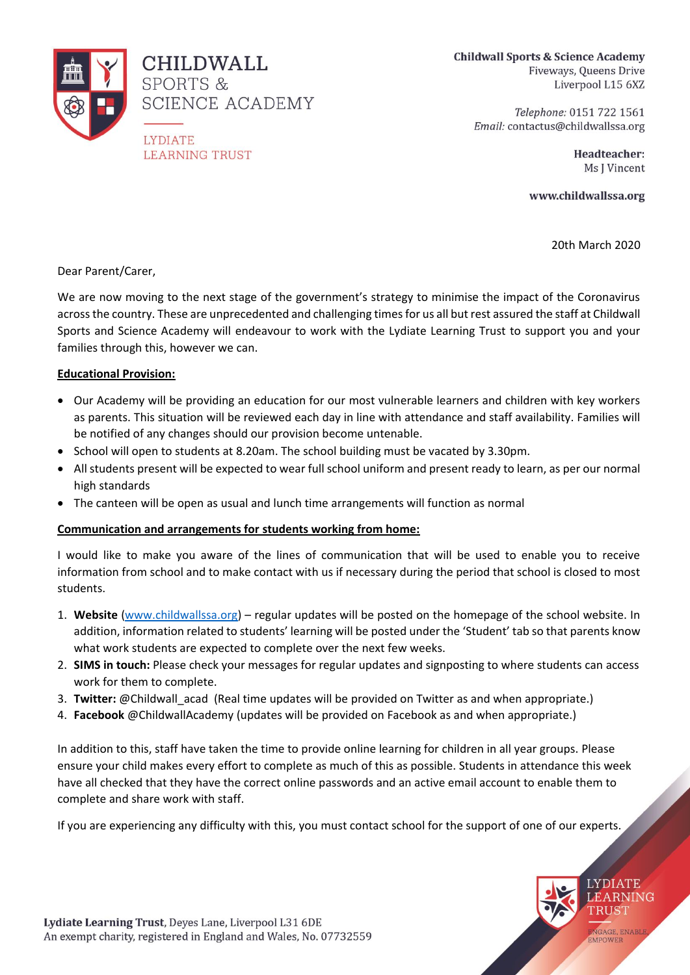

**CHILDWALL** SPORTS & SCIENCE ACADEMY

**LYDIATE LEARNING TRUST**  **Childwall Sports & Science Academy** Fiveways, Queens Drive Liverpool L15 6XZ

> Telephone: 0151 722 1561 Email: contactus@childwallssa.org

> > Headteacher: Ms J Vincent

www.childwallssa.org

20th March 2020

**LYDIATE** LEARNING TRUST

ENGAGE, ENABLE<br>EMPOWER

Dear Parent/Carer,

We are now moving to the next stage of the government's strategy to minimise the impact of the Coronavirus across the country. These are unprecedented and challenging times for us all but rest assured the staff at Childwall Sports and Science Academy will endeavour to work with the Lydiate Learning Trust to support you and your families through this, however we can.

## **Educational Provision:**

- Our Academy will be providing an education for our most vulnerable learners and children with key workers as parents. This situation will be reviewed each day in line with attendance and staff availability. Families will be notified of any changes should our provision become untenable.
- School will open to students at 8.20am. The school building must be vacated by 3.30pm.
- All students present will be expected to wear full school uniform and present ready to learn, as per our normal high standards
- The canteen will be open as usual and lunch time arrangements will function as normal

# **Communication and arrangements for students working from home:**

I would like to make you aware of the lines of communication that will be used to enable you to receive information from school and to make contact with us if necessary during the period that school is closed to most students.

- 1. **Website** [\(www.childwallssa.org\)](http://www.childwallssa.org/) regular updates will be posted on the homepage of the school website. In addition, information related to students' learning will be posted under the 'Student' tab so that parents know what work students are expected to complete over the next few weeks.
- 2. **SIMS in touch:** Please check your messages for regular updates and signposting to where students can access work for them to complete.
- 3. **Twitter:** @Childwall\_acad (Real time updates will be provided on Twitter as and when appropriate.)
- 4. **Facebook** @ChildwallAcademy (updates will be provided on Facebook as and when appropriate.)

In addition to this, staff have taken the time to provide online learning for children in all year groups. Please ensure your child makes every effort to complete as much of this as possible. Students in attendance this week have all checked that they have the correct online passwords and an active email account to enable them to complete and share work with staff.

If you are experiencing any difficulty with this, you must contact school for the support of one of our experts.

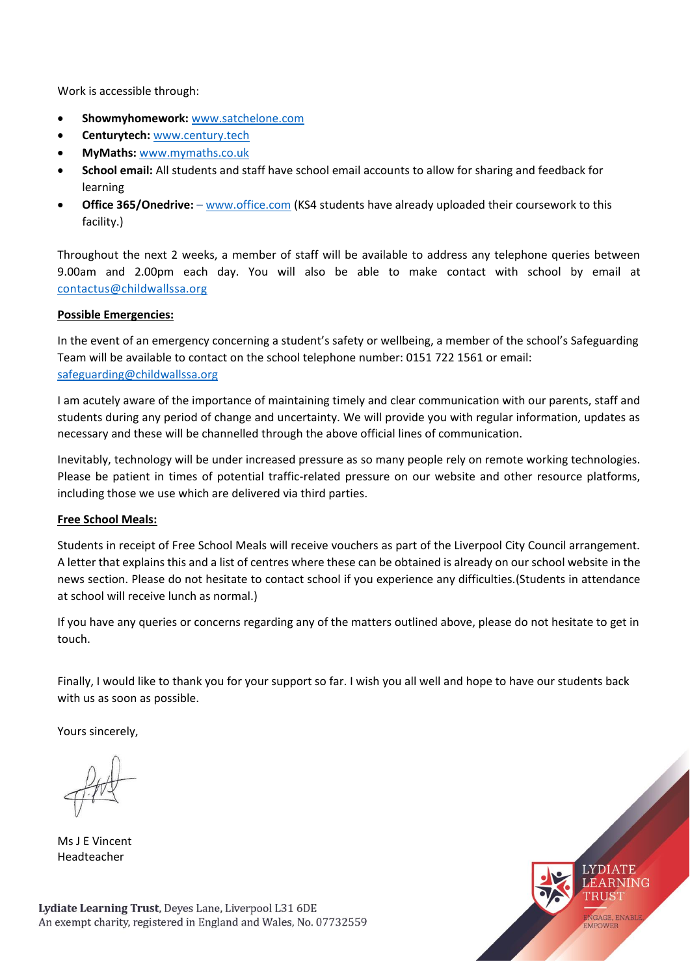Work is accessible through:

- **Showmyhomework:** www.satchelone.com
- **Centurytech:** [www.century.tech](http://www.century.tech/)
- **MyMaths:** [www.mymaths.co.uk](http://www.mymaths.co.uk/)
- **School email:** All students and staff have school email accounts to allow for sharing and feedback for learning
- **Office 365/Onedrive:** [www.office.com](http://www.office.com/) (KS4 students have already uploaded their coursework to this facility.)

Throughout the next 2 weeks, a member of staff will be available to address any telephone queries between 9.00am and 2.00pm each day. You will also be able to make contact with school by email at [contactus@childwallssa.org](mailto:contactus@childwallssa.org)

#### **Possible Emergencies:**

In the event of an emergency concerning a student's safety or wellbeing, a member of the school's Safeguarding Team will be available to contact on the school telephone number: 0151 722 1561 or email: [safeguarding@childwallssa.org](mailto:safeguarding@childwallssa.org)

I am acutely aware of the importance of maintaining timely and clear communication with our parents, staff and students during any period of change and uncertainty. We will provide you with regular information, updates as necessary and these will be channelled through the above official lines of communication.

Inevitably, technology will be under increased pressure as so many people rely on remote working technologies. Please be patient in times of potential traffic-related pressure on our website and other resource platforms, including those we use which are delivered via third parties.

#### **Free School Meals:**

Students in receipt of Free School Meals will receive vouchers as part of the Liverpool City Council arrangement. A letter that explains this and a list of centres where these can be obtained is already on our school website in the news section. Please do not hesitate to contact school if you experience any difficulties.(Students in attendance at school will receive lunch as normal.)

If you have any queries or concerns regarding any of the matters outlined above, please do not hesitate to get in touch.

Finally, I would like to thank you for your support so far. I wish you all well and hope to have our students back with us as soon as possible.

Yours sincerely,

Ms J E Vincent Headteacher

Lydiate Learning Trust, Deyes Lane, Liverpool L31 6DE An exempt charity, registered in England and Wales, No. 07732559